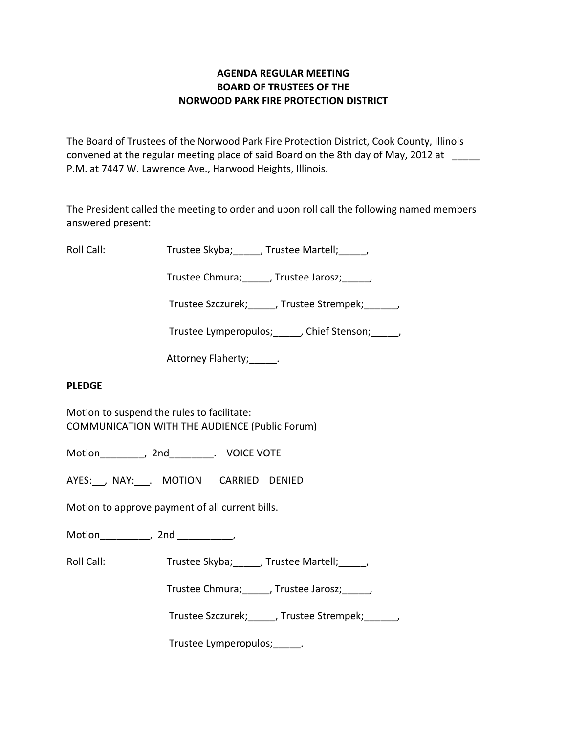### **AGENDA REGULAR MEETING BOARD OF TRUSTEES OF THE NORWOOD PARK FIRE PROTECTION DISTRICT**

The Board of Trustees of the Norwood Park Fire Protection District, Cook County, Illinois convened at the regular meeting place of said Board on the 8th day of May, 2012 at P.M. at 7447 W. Lawrence Ave., Harwood Heights, Illinois.

The President called the meeting to order and upon roll call the following named members answered present:

Roll Call: Trustee Skyba; Jrustee Martell;

Trustee Chmura; frustee Jarosz; frustee Ohmura; die Jarosz; die Jarosz; die Jarosz; die Jarosz; die J

Trustee Szczurek; frustee Strempek; frustee Strempek;

Trustee Lymperopulos; finity Chief Stenson; finity

Attorney Flaherty; Theory

# **PLEDGE**

Motion to suspend the rules to facilitate: COMMUNICATION WITH THE AUDIENCE (Public Forum)

Motion \_\_\_\_\_\_\_\_, 2nd \_\_\_\_\_\_\_\_. VOICE VOTE

AYES: , NAY: . MOTION CARRIED DENIED

Motion to approve payment of all current bills.

Motion the contract of the contract of the contract of the contract of the contract of the contract of the contract of the contract of the contract of the contract of the contract of the contract of the contract of the con

Roll Call: Trustee Skyba; Trustee Martell;

Trustee Chmura;\_\_\_\_\_, Trustee Jarosz;\_\_\_\_\_,

Trustee Szczurek; J. Trustee Strempek; J.

Trustee Lymperopulos;\_\_\_\_\_.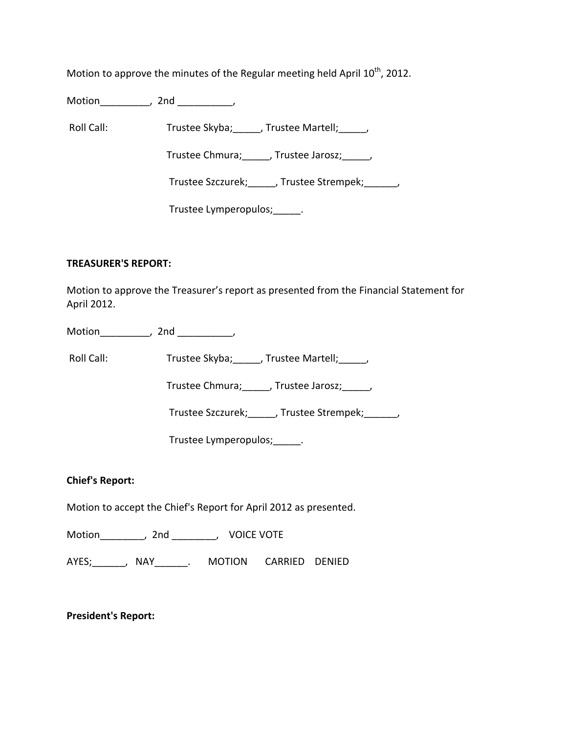Motion to approve the minutes of the Regular meeting held April  $10^{th}$ , 2012.

Motion\_\_\_\_\_\_\_\_\_, 2nd \_\_\_\_\_\_\_\_\_\_,

Roll Call: Trustee Skyba; J. Trustee Martell; Trustee Martell;

Trustee Chmura; frustee Jarosz; frustee Jarosz;

Trustee Szczurek; J. Trustee Strempek; J.

Trustee Lymperopulos;\_\_\_\_\_.

#### **TREASURER'S REPORT:**

Motion to approve the Treasurer's report as presented from the Financial Statement for April 2012.

Motion the contract of the contract of the contract of the contract of the contract of the contract of the contract of the contract of the contract of the contract of the contract of the contract of the contract of the con

Roll Call: Trustee Skyba; J. Trustee Martell; J. J.

Trustee Chmura;\_\_\_\_\_, Trustee Jarosz;\_\_\_\_\_,

Trustee Szczurek;\_\_\_\_\_, Trustee Strempek;\_\_\_\_\_\_,

Trustee Lymperopulos;\_\_\_\_\_.

# **Chief's Report:**

Motion to accept the Chief's Report for April 2012 as presented.

Motion (a)  $\qquad$  , 2nd \_\_\_\_\_\_\_\_, VOICE VOTE

AYES; NAY MOTION CARRIED DENIED

**President's Report:**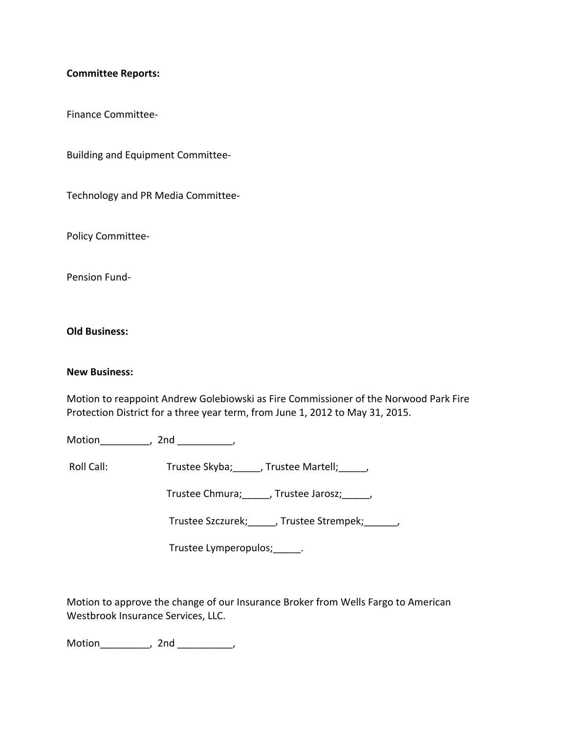#### **Committee Reports:**

Finance Committee‐

Building and Equipment Committee‐

Technology and PR Media Committee‐

Policy Committee‐

Pension Fund‐

**Old Business:**

#### **New Business:**

Motion to reappoint Andrew Golebiowski as Fire Commissioner of the Norwood Park Fire Protection District for a three year term, from June 1, 2012 to May 31, 2015.

Motion\_\_\_\_\_\_\_\_\_, 2nd \_\_\_\_\_\_\_\_\_\_,

Roll Call: Trustee Skyba; \_\_\_\_\_, Trustee Martell; \_\_\_\_\_,

Trustee Chmura;\_\_\_\_\_, Trustee Jarosz;\_\_\_\_\_,

Trustee Szczurek;\_\_\_\_\_, Trustee Strempek;\_\_\_\_\_\_,

Trustee Lymperopulos;\_\_\_\_\_.

Motion to approve the change of our Insurance Broker from Wells Fargo to American Westbrook Insurance Services, LLC.

Motion\_\_\_\_\_\_\_\_\_, 2nd \_\_\_\_\_\_\_\_\_\_,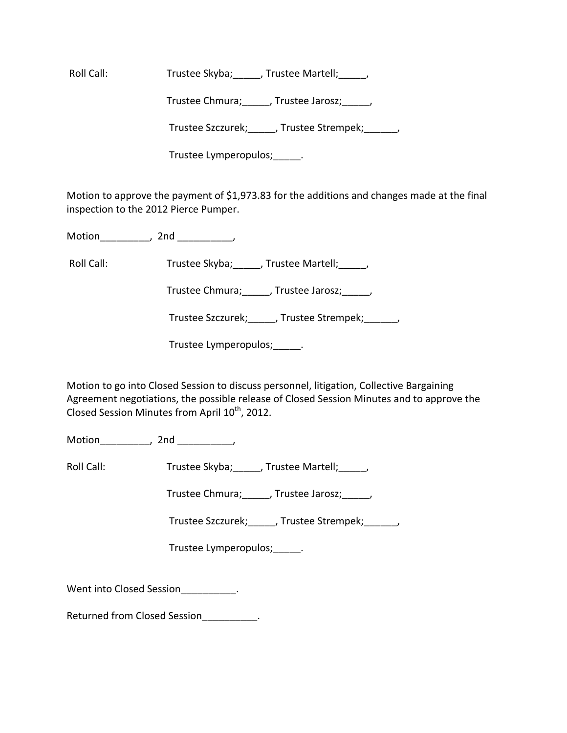Roll Call: Trustee Skyba; \_\_\_\_, Trustee Martell; \_\_\_\_,

Trustee Chmura;\_\_\_\_\_, Trustee Jarosz;\_\_\_\_\_,

Trustee Szczurek; frustee Strempek; frustee Strempek;

Trustee Lymperopulos;\_\_\_\_\_.

Motion to approve the payment of \$1,973.83 for the additions and changes made at the final inspection to the 2012 Pierce Pumper.

Motion\_\_\_\_\_\_\_\_\_, 2nd \_\_\_\_\_\_\_\_\_\_,

Roll Call: Trustee Skyba; J. Trustee Martell; J. J.

Trustee Chmura;\_\_\_\_\_, Trustee Jarosz;\_\_\_\_\_,

Trustee Szczurek;\_\_\_\_\_, Trustee Strempek;\_\_\_\_\_\_,

Trustee Lymperopulos; Fig.

Motion to go into Closed Session to discuss personnel, litigation, Collective Bargaining Agreement negotiations, the possible release of Closed Session Minutes and to approve the Closed Session Minutes from April  $10^{\text{th}}$ , 2012.

Motion\_\_\_\_\_\_\_\_\_, 2nd \_\_\_\_\_\_\_\_\_\_,

Roll Call: Trustee Skyba; \_\_\_\_, Trustee Martell; \_\_\_\_,

Trustee Chmura;\_\_\_\_\_, Trustee Jarosz;\_\_\_\_\_,

Trustee Szczurek; frustee Strempek; frustee Strempek;

Trustee Lymperopulos; Fig.

Went into Closed Session\_\_\_\_\_\_\_\_\_\_\_.

Returned from Closed Session Fig. 2.